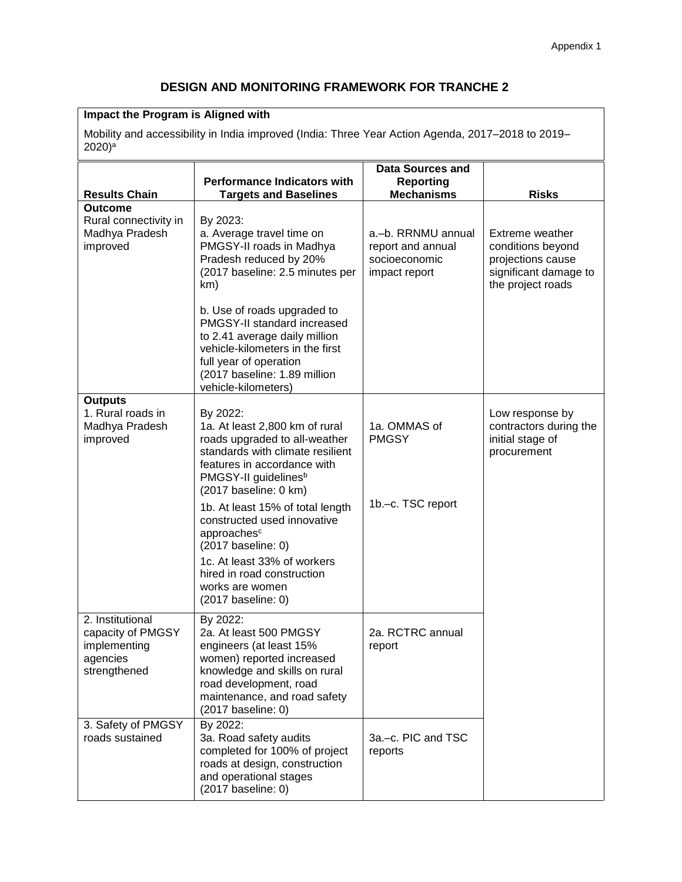# **DESIGN AND MONITORING FRAMEWORK FOR TRANCHE 2**

## **Impact the Program is Aligned with**

Mobility and accessibility in India improved (India: Three Year Action Agenda, 2017–2018 to 2019– 2020) a

| <b>Results Chain</b>                                                              | <b>Performance Indicators with</b><br><b>Targets and Baselines</b>                                                                                                                                                        | <b>Data Sources and</b><br><b>Reporting</b><br><b>Mechanisms</b>          | <b>Risks</b>                                                                                                   |
|-----------------------------------------------------------------------------------|---------------------------------------------------------------------------------------------------------------------------------------------------------------------------------------------------------------------------|---------------------------------------------------------------------------|----------------------------------------------------------------------------------------------------------------|
| Outcome                                                                           |                                                                                                                                                                                                                           |                                                                           |                                                                                                                |
| Rural connectivity in<br>Madhya Pradesh<br>improved                               | By 2023:<br>a. Average travel time on<br>PMGSY-II roads in Madhya<br>Pradesh reduced by 20%<br>(2017 baseline: 2.5 minutes per<br>km)                                                                                     | a.-b. RRNMU annual<br>report and annual<br>socioeconomic<br>impact report | <b>Extreme weather</b><br>conditions beyond<br>projections cause<br>significant damage to<br>the project roads |
|                                                                                   | b. Use of roads upgraded to<br>PMGSY-II standard increased<br>to 2.41 average daily million<br>vehicle-kilometers in the first<br>full year of operation<br>(2017 baseline: 1.89 million<br>vehicle-kilometers)           |                                                                           |                                                                                                                |
| <b>Outputs</b>                                                                    |                                                                                                                                                                                                                           |                                                                           |                                                                                                                |
| 1. Rural roads in<br>Madhya Pradesh<br>improved                                   | By 2022:<br>1a. At least 2,800 km of rural<br>roads upgraded to all-weather<br>standards with climate resilient<br>features in accordance with<br>PMGSY-II guidelines <sup>b</sup><br>(2017 baseline: 0 km)               | 1a. OMMAS of<br><b>PMGSY</b>                                              | Low response by<br>contractors during the<br>initial stage of<br>procurement                                   |
|                                                                                   | 1b. At least 15% of total length<br>constructed used innovative<br>approaches <sup>c</sup><br>(2017 baseline: 0)<br>1c. At least 33% of workers<br>hired in road construction<br>works are women<br>$(2017)$ baseline: 0) | 1b.-c. TSC report                                                         |                                                                                                                |
| 2. Institutional<br>capacity of PMGSY<br>implementing<br>agencies<br>strengthened | By 2022:<br>2a. At least 500 PMGSY<br>engineers (at least 15%<br>women) reported increased<br>knowledge and skills on rural<br>road development, road<br>maintenance, and road safety<br>(2017 baseline: 0)               | 2a. RCTRC annual<br>report                                                |                                                                                                                |
| 3. Safety of PMGSY<br>roads sustained                                             | By 2022:<br>3a. Road safety audits<br>completed for 100% of project<br>roads at design, construction<br>and operational stages<br>(2017 baseline: 0)                                                                      | 3a.-c. PIC and TSC<br>reports                                             |                                                                                                                |